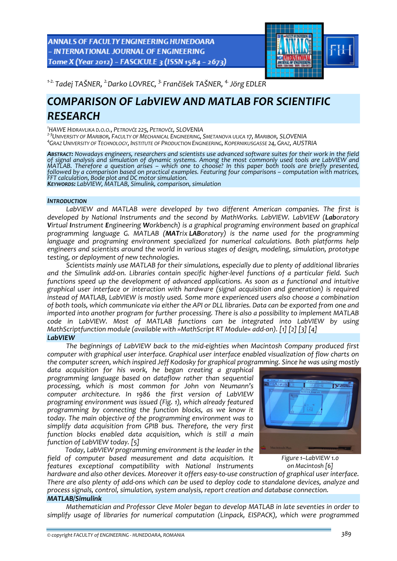ANNALS OF FACULTY ENGINEERING HUNEDOARA - INTERNATIONAL JOURNAL OF ENGINEERING Tome X (Year 2012) - FASCICULE 3 (ISSN 1584 - 2673)



*<sup>1</sup>‐2. Tadej TAŠNER, 2.Darko LOVREC, 3. Frančišek TAŠNER, 4.Jörg EDLER* 

# *COMPARISON OF LabVIEW AND MATLAB FOR SCIENTIFIC RESEARCH*

*1 HAWE HIDRAVLIKA D.O.O., PETROVČ<sup>E</sup> 225, PETROVČE, SLOVENIA <sup>2</sup>‐<sup>3</sup> UNIVERSITY OF MARIBOR, FACULTY OF MECHANICAL ENGINEERING, SMETANOVA ULICA 17, MARIBOR, SLOVENIA <sup>4</sup> GRAZ UNIVERSITY OF TECHNOLOGY, INSTITUTE OF PRODUCTION ENGINEERING, KOPERNIKUSGASSE 24, GRAZ, AUSTRIA*

ABSTRACT: Nowadays engineers, researchers and scientists use advanced software suites for their work in the field<br>of signal analysis and simulation of dynamic systems. Among the most commonly used tools are LabVIEW and<br>MAT MATLAB. Therefore a question arises – which one to choose? In this paper both tools are briefly presented,<br>followed by a comparison based on practical examples. Featuring four comparisons – computation with matrices, *FFT calculation, Bode plot and DC motor simulation. KEYWORDS: LabVIEW, MATLAB, Simulink, comparison, simulation*

# *INTRODUCTION*

*LabVIEW and MATLAB were developed by two different American companies. The first is developed by National Instruments and the second by MathWorks. LabVIEW. LabVIEW (Laboratory Virtual Instrument Engineering Workbench) is a graphical programing environment based on graphical programming language G. MATLAB (MATrix LABoratory) is the name used for the programming language and programing environment specialized for numerical calculations. Both platforms help engineers and scientists around the world in various stages of design, modeling, simulation, prototype testing, or deployment of new technologies.*

*Scientists mainly use MATLAB for their simulations, especially due to plenty of additional libraries* and the Simulink add-on. Libraries contain specific higher-level functions of a particular field. Such *functions speed up the development of advanced applications. As soon as a functional and intuitive graphical user interface or interaction with hardware (signal acquisition and generation) is required instead of MATLAB, LabVIEW is mostly used. Some more experienced users also choose a combination* of both tools, which communicate via either the API or DLL libraries. Data can be exported from one and *imported into another program for further processing. There is also a possibility to implement MATLAB code in LabVIEW. Most of MATLAB functions can be integrated into LabVIEW by using MathScriptfunction module (available with »MathScript RT Module« add‐on). [1] [2] [3] [4]*

## *LabVIEW*

*The beginnings of LabVIEW back to the mid‐eighties when Macintosh Company produced first computer with graphical user interface. Graphical user interface enabled visualization of flow charts on the computer screen, which inspired Jeff Kodosky for graphical programming. Since he was using mostly*

*data acquisition for his work, he began creating a graphical programming language based on dataflow rather than sequential processing, which is most common for John von Neumann's computer architecture. In 1986 the first version of LabVIEW programing environment was issued (Fig. 1), which already featured programming by connecting the function blocks, as we know it today. The main objective of the programming environment was to simplify data acquisition from GPIB bus. Therefore, the very first function blocks enabled data acquisition, which is still a main function of LabVIEW today. [5]*

*Today, LabVIEW programming environment is the leader in the field of computer based measurement and data acquisition. It features exceptional compatibility with National Instruments*



*Figure 1–LabVIEW 1.0 on Macintosh [6]*

hardware and also other devices. Moreover it offers easy-to-use construction of graphical user interface. There are also plenty of add-ons which can be used to deploy code to standalone devices, analyze and *process signals, control, simulation, system analysis, report creation and database connection.*

# *MATLAB/Simulink*

*Mathematician and Professor Cleve Moler began to develop MATLAB in late seventies in order to simplify usage of libraries for numerical computation (Linpack, EISPACK), which were programmed*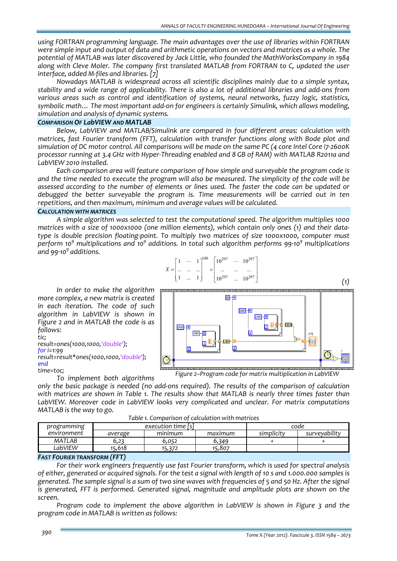*using FORTRAN programming language. The main advantages over the use of libraries within FORTRAN* were simple input and output of data and arithmetic operations on vectors and matrices as a whole. The *potential of MATLAB was later discovered by Jack Little, who founded the MathWorksCompany in 1984 along with Cleve Moler. The company first translated MATLAB from FORTRAN to C, updated the user interface, added M‐files and libraries. [7]*

*Nowadays MATLAB is widespread across all scientific disciplines mainly due to a simple syntax,* stability and a wide range of applicability. There is also a lot of additional libraries and add-ons from *various areas such as control and identification of systems, neural networks, fuzzy logic, statistics, symbolic math… The most important add‐on for engineers is certainly Simulink, which allows modeling, simulation and analysis of dynamic systems.*

## *COMPARISON OF LabVIEW AND MATLAB*

*Below, LabVIEW and MATLAB/Simulink are compared in four different areas: calculation with matrices, fast Fourier transform (FFT), calculation with transfer functions along with Bode plot and* simulation of DC motor control. All comparisons will be made on the same PC (4 core Intel Core i7-2600K processor running at 3.4 GHz with Hyper-Threading enabled and 8 GB of RAM) with MATLAB R2011a and *LabVIEW 2010 installed.*

*Each comparison area will feature comparison of how simple and surveyable the program code is* and the time needed to execute the program will also be measured. The simplicity of the code will be *assessed according to the number of elements or lines used. The faster the code can be updated or debugged the better surveyable the program is. Time measurements will be carried out in ten repetitions, and then maximum, minimum and average values will be calculated.*

## *CALCULATION WITH MATRICES*

*A simple algorithm was selected to test the computational speed. The algorithm multiplies 1000* matrices with a size of 1000x1000 (one million elements), which contain only ones (1) and their data*type is double precision floating‐point. To multiply two matrices of size 1000x1000, computer must* perform 10<sup>9</sup> multiplications and 10<sup>9</sup> additions. In total such algorithm performs 99.10<sup>9</sup> multiplications *and 99∙10<sup>9</sup> additions.*



 $1000$   $\overline{\mathsf{N}}$ 

 $\overline{1}$ 

**Til** 

 $A*B$  $\sqrt{\frac{x}{x} \frac{x}{x} \frac{x}{x}}$ 

99-M

-<br>Film

 $1000 - N$ 

*In order to make the algorithm more complex, a new matrix is created in each iteration. The code of such algorithm in LabVIEW is shown in Figure 2 and in MATLAB the code is as follows:*

*tic;*

*result=ones(1000,1000,'double'); for i=1:99*

*result=result\*ones(1000,1000,'double'); end*

*time=toc;*

*To implement both algorithms*

only the basic package is needed (no add-ons required). The results of the comparison of calculation *with matrices are shown in Table 1. The results show that MATLAB is nearly three times faster than LabVIEW. Moreover code in LabVIEW looks very complicated and unclear. For matrix computations Figure 2–Program code for matrix multiplication in LabVIEW*

 $1000 - N$ 

 $1000 -$ 

☺

*Table 1. Comparison of calculation with matrices*

| programming | execution time [s] |         |         | code       |               |
|-------------|--------------------|---------|---------|------------|---------------|
| environment | average            | mınımum | maximum | simplicity | surveyability |
| MATLAB      | 0,22               | 6.052   | 5,349   |            |               |
| LabVIEW     | 15.618             | 5.372   | 15.807  |            |               |

#### *FAST FOURIER TRANSFORM (FFT)*

*MATLAB is the way to go.*

*For their work engineers frequently use fast Fourier transform, which is used for spectral analysis* of either, generated or acquired signals. For the test a signal with length of 10 s and 1,000,000 samples is generated. The sample signal is a sum of two sine waves with frequencies of 5 and 50 Hz. After the signal *is generated, FFT is performed. Generated signal, magnitude and amplitude plots are shown on the screen.*

*Program code to implement the above algorithm in LabVIEW is shown in Figure 3 and the program code in MATLAB is written as follows:*

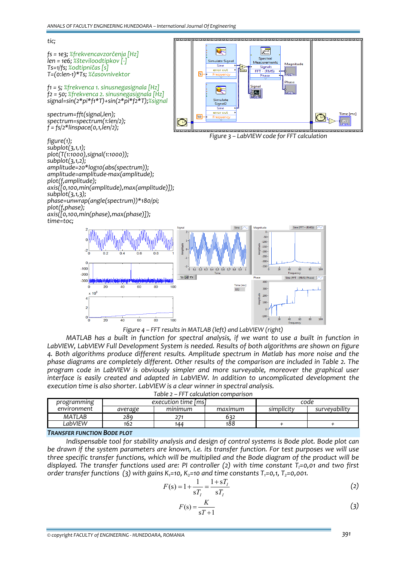

*Figure 4 – FFT results in MATLAB (left) and LabVIEW (right)*

MATLAB has a built in function for spectral analysis, if we want to use a built in function in *LabVIEW, LabVIEW Full Development System is needed. Results of both algorithms are shown on figure 4. Both algorithms produce different results. Amplitude spectrum in Matlab has more noise and the phase diagrams are completely different. Other results of the comparison are included in Table 2. The program code in LabVIEW is obviously simpler and more surveyable, moreover the graphical user interface is easily created and adapted in LabVIEW. In addition to uncomplicated development the execution time is also shorter. LabVIEW is a clear winner in spectral analysis. Table 2 – FFT calculation comparison*

| $10001 < 2 - 111$ Cancalaction Companison |                     |         |            |               |  |  |
|-------------------------------------------|---------------------|---------|------------|---------------|--|--|
| programming                               | execution time [ms] |         |            | code          |  |  |
| environment<br>average                    | mınımum             | maximum | simplicity | survevability |  |  |
| MATLAB<br>289.                            |                     | 632     |            |               |  |  |
| LabVIEW<br>162                            | 144                 | 188     |            |               |  |  |

*TRANSFER FUNCTION BODE PLOT*

*Indispensable tool for stability analysis and design of control systems is Bode plot. Bode plot can* be drawn if the system parameters are known, i.e. its transfer function. For test purposes we will use *three specific transfer functions, which will be multiplied and the Bode diagram of the product will be displayed. The transfer functions used are: PI controller (2) with time constant TI=0,01 and two first order transfer functions* (3) *with* gains  $K_1=10$ ,  $K_2=10$  *and time constants*  $T_1=0,1$ ,  $T_2=0,001$ .

$$
F(s) = 1 + \frac{1}{sT_I} = \frac{1 + sT_I}{sT_I}
$$
 (2)

$$
F(s) = \frac{K}{sT + 1}
$$
 (3)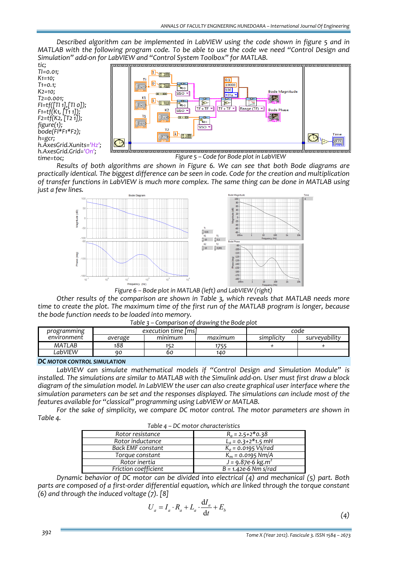*Described algorithm can be implemented in LabVIEW using the code shown in figure 5 and in MATLAB with the following program code. To be able to use the code we need "Control Design and Simulation" add‐on for LabVIEW and "Control System Toolbox" for MATLAB.*

*tic; TI=0.01; K1=10; T1=0.1; K2=10; T2=0.001; FI=tf([TI 1],[TI 0]); F1=tf(K1, [T1 1]); F2=tf(K2, [T2 1]); figure(1); bode(FI\*F1\*F2); h=gcr; h.AxesGrid.Xunits='Hz'; h.AxesGrid.Grid='On'; time=toc;*



*Figure 5 – Code for Bode plot in LabVIEW*

*Results of both algorithms are shown in Figure 6. We can see that both Bode diagrams are practically identical. The biggest difference can be seen in code. Code for the creation and multiplication of transfer functions in LabVIEW is much more complex. The same thing can be done in MATLAB using just a few lines.*



*Other results of the comparison are shown in Table 3, which reveals that MATLAB needs more* time to create the plot. The maximum time of the first run of the MATLAB program is longer, because *the bode function needs to be loaded into memory.*

|  | Table 3 – Comparison of drawing the Bode plot |
|--|-----------------------------------------------|
|--|-----------------------------------------------|

| $\cdots$<br>$\frac{1}{2}$ |                     |         |         |            |               |  |
|---------------------------|---------------------|---------|---------|------------|---------------|--|
| programming               | execution time [ms] |         |         | code       |               |  |
| environment               | average             | mınımum | maximum | simplicity | surveyability |  |
| <b>MATLAB</b>             | 188                 | 152     | '755    |            |               |  |
| LabVIEW                   | ۹O                  | 60      | 140     |            |               |  |
| - -                       |                     |         |         |            |               |  |

#### *DC MOTOR CONTROL SIMULATION*

*LabVIEW can simulate mathematical models if "Control Design and Simulation Module" is* installed. The simulations are similar to MATLAB with the Simulink add-on. User must first draw a block *diagram of the simulation model. In LabVIEW the user can also create graphical user interface where the simulation parameters can be set and the responses displayed. The simulations can include most of the features available for "classical" programming using LabVIEW or MATLAB.*

*For the sake of simplicity, we compare DC motor control. The motor parameters are shown in Table 4.*

| Table 4 – DC motor characteristics |                                           |  |  |  |
|------------------------------------|-------------------------------------------|--|--|--|
| Rotor resistance                   | $R_a = 2.5 + 2*0.38$                      |  |  |  |
| Rotor inductance                   | $L_a = 0.3 + 2*1.5$ mH                    |  |  |  |
| Back EMF constant                  | $K_e = 0.0195 \text{ Vs/rad}$             |  |  |  |
| Torque constant                    | $K_m = 0.0195$ Nm/A                       |  |  |  |
| Rotor inertia                      | $\sqrt{J} = 9.87e^{-0}$ kg.m <sup>2</sup> |  |  |  |
| Friction coefficient               | $B = 1.42e-6$ Nm s/rad                    |  |  |  |

*Dynamic behavior of DC motor can be divided into electrical (4) and mechanical (5) part. Both parts are composed of a first‐order differential equation, which are linked through the torque constant (6) and through the induced voltage (7). [8]*

$$
U_a = I_a \cdot R_a + L_a \cdot \frac{dI_a}{dt} + E_b \tag{4}
$$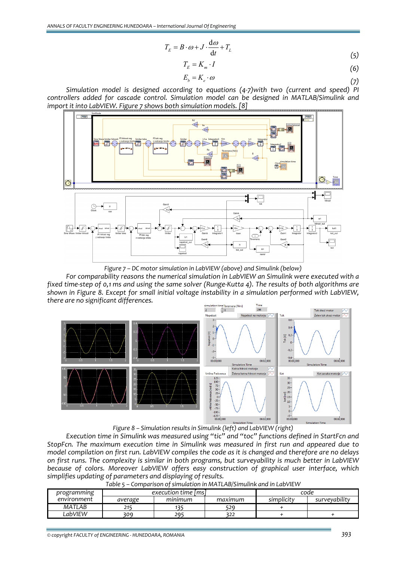$$
T_E = B \cdot \omega + J \cdot \frac{d\omega}{dt} + T_L \tag{5}
$$

$$
T_E = K_m \cdot I \tag{6}
$$

$$
E_b = K_e \cdot \omega \tag{7}
$$

*Simulation model is designed according to equations (4‐7)with two (current and speed) PI controllers added for cascade control. Simulation model can be designed in MATLAB/Simulink and import it into LabVIEW. Figure 7 shows both simulation models. [8]*



*Figure 7 – DC motor simulation in LabVIEW (above) and Simulink (below)*

*For comparability reasons the numerical simulation in LabVIEW an Simulink were executed with a* fixed time-step of 0,1 ms and using the same solver (Runge-Kutta 4). The results of both algorithms are *shown in Figure 8. Except for small initial voltage instability in a simulation performed with LabVIEW, there are no significant differences.*



*Figure 8 – Simulation results in Simulink (left) and LabVIEW (right)*

*Execution time in Simulink was measured using "tic" and "toc" functions defined in StartFcn and StopFcn. The maximum execution time in Simulink was measured in first run and appeared due to* model compilation on first run. LabVIEW compiles the code as it is changed and therefore are no delays *on first runs. The complexity is similar in both programs, but surveyability is much better in LabVIEW because of colors. Moreover LabVIEW offers easy construction of graphical user interface, which simplifies updating of parameters and displaying of results.*

| programming | execution time Imsl |         |         | code       |               |
|-------------|---------------------|---------|---------|------------|---------------|
| environment | average             | minimum | maximum | simplicity | surveyability |
| MATLAB      | 2 I                 | ח כי    | 529     |            |               |
| LabVIEW     | 309                 | 295     | 322     |            |               |

*Table 5 – Comparison of simulation in MATLAB/Simulink and in LabVIEW*